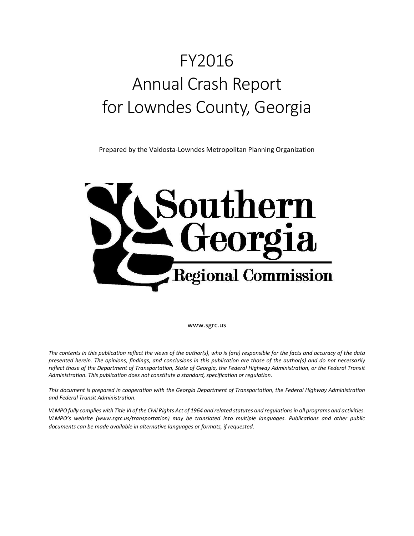# FY2016 Annual Crash Report for Lowndes County, Georgia

Prepared by the Valdosta-Lowndes Metropolitan Planning Organization



www.sgrc.us

*The contents in this publication reflect the views of the author(s), who is (are) responsible for the facts and accuracy of the data presented herein. The opinions, findings, and conclusions in this publication are those of the author(s) and do not necessarily reflect those of the Department of Transportation, State of Georgia, the Federal Highway Administration, or the Federal Transit Administration. This publication does not constitute a standard, specification or regulation.* 

*This document is prepared in cooperation with the Georgia Department of Transportation, the Federal Highway Administration and Federal Transit Administration.*

*VLMPO fully complies with Title VI of the Civil Rights Act of 1964 and related statutes and regulations in all programs and activities. VLMPO's website (www.sgrc.us/transportation) may be translated into multiple languages. Publications and other public documents can be made available in alternative languages or formats, if requested.*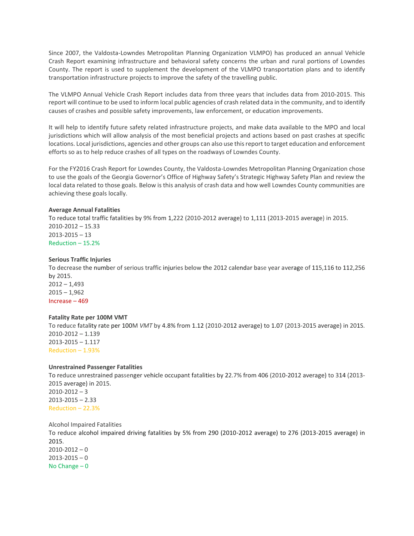Since 2007, the Valdosta-Lowndes Metropolitan Planning Organization VLMPO) has produced an annual Vehicle Crash Report examining infrastructure and behavioral safety concerns the urban and rural portions of Lowndes County. The report is used to supplement the development of the VLMPO transportation plans and to identify transportation infrastructure projects to improve the safety of the travelling public.

The VLMPO Annual Vehicle Crash Report includes data from three years that includes data from 2010-2015. This report will continue to be used to inform local public agencies of crash related data in the community, and to identify causes of crashes and possible safety improvements, law enforcement, or education improvements.

It will help to identify future safety related infrastructure projects, and make data available to the MPO and local jurisdictions which will allow analysis of the most beneficial projects and actions based on past crashes at specific locations. Local jurisdictions, agencies and other groups can also use this report to target education and enforcement efforts so as to help reduce crashes of all types on the roadways of Lowndes County.

For the FY2016 Crash Report for Lowndes County, the Valdosta-Lowndes Metropolitan Planning Organization chose to use the goals of the Georgia Governor's Office of Highway Safety's Strategic Highway Safety Plan and review the local data related to those goals. Below is this analysis of crash data and how well Lowndes County communities are achieving these goals locally.

# **Average Annual Fatalities**

To reduce total traffic fatalities by 9% from 1,222 (2010-2012 average) to 1,111 (2013-2015 average) in 2015. 2010-2012 – 15.33 2013-2015 – 13 Reduction – 15.2%

#### **Serious Traffic Injuries**

To decrease the number of serious traffic injuries below the 2012 calendar base year average of 115,116 to 112,256 by 2015.  $2012 - 1,493$  $2015 - 1,962$ Increase – 469

#### **Fatality Rate per 100M VMT**

To reduce fatality rate per 100M *VMT* by 4.8% from 1.12 (2010-2012 average) to 1.07 (2013-2015 average) in 201S. 2010-2012 – 1.139 2013-2015 – 1.117 Reduction – 1.93%

#### **Unrestrained Passenger Fatalities**

To reduce unrestrained passenger vehicle occupant fatalities by 22.7% from 406 (2010-2012 average) to 314 (2013- 2015 average) in 2015.  $2010 - 2012 - 3$  $2013 - 2015 - 2.33$ Reduction – 22.3%

Alcohol Impaired Fatalities

To reduce alcohol impaired driving fatalities by 5% from 290 (2010-2012 average) to 276 (2013-2015 average) in 2015.

 $2010 - 2012 - 0$  $2013 - 2015 - 0$ No Change – 0